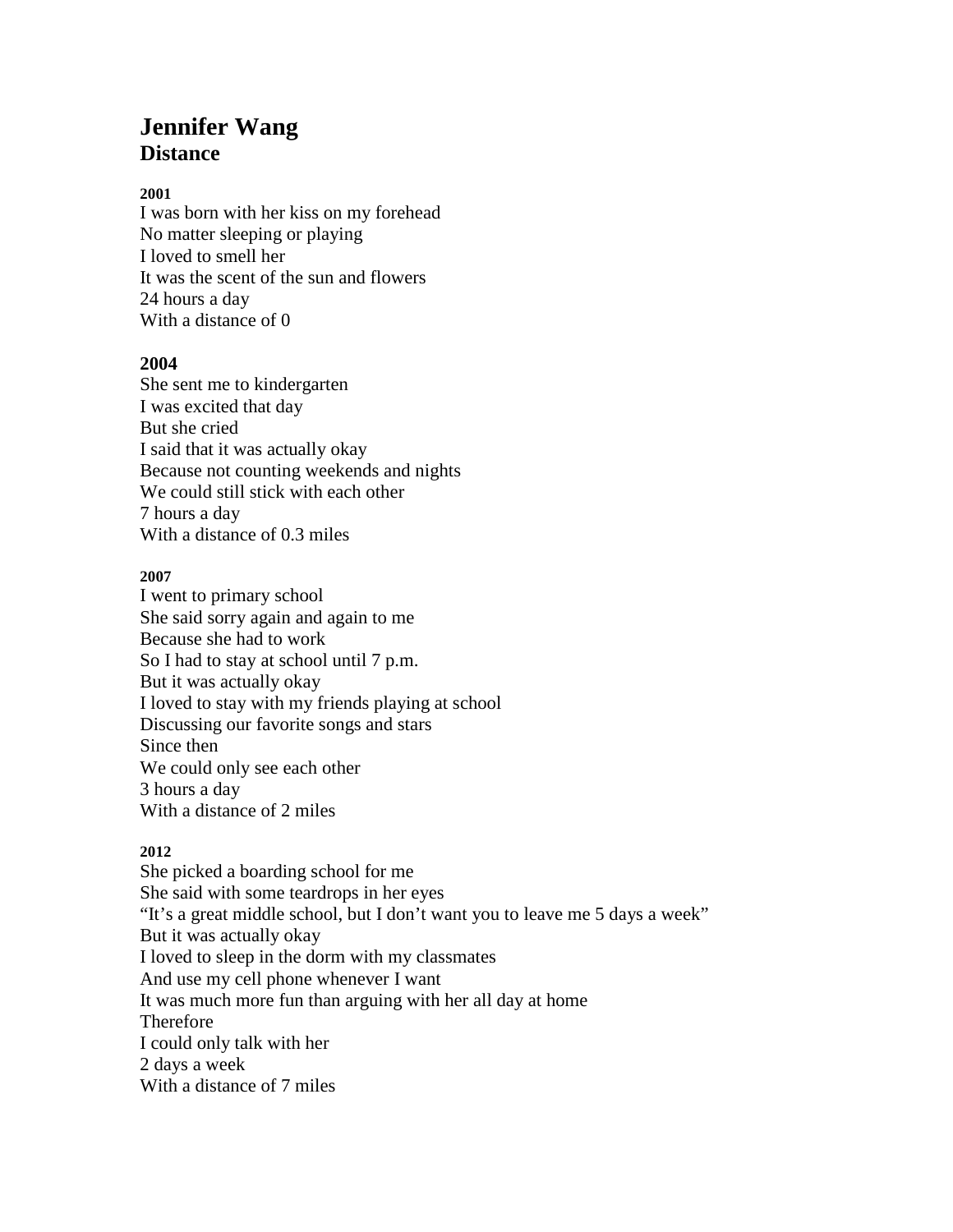# **Jennifer Wang Distance**

### **2001**

I was born with her kiss on my forehead No matter sleeping or playing I loved to smell her It was the scent of the sun and flowers 24 hours a day With a distance of 0

## **2004**

She sent me to kindergarten I was excited that day But she cried I said that it was actually okay Because not counting weekends and nights We could still stick with each other 7 hours a day With a distance of 0.3 miles

### **2007**

I went to primary school She said sorry again and again to me Because she had to work So I had to stay at school until 7 p.m. But it was actually okay I loved to stay with my friends playing at school Discussing our favorite songs and stars Since then We could only see each other 3 hours a day With a distance of 2 miles

## **2012**

She picked a boarding school for me She said with some teardrops in her eyes "It's a great middle school, but I don't want you to leave me 5 days a week" But it was actually okay I loved to sleep in the dorm with my classmates And use my cell phone whenever I want It was much more fun than arguing with her all day at home Therefore I could only talk with her 2 days a week With a distance of 7 miles